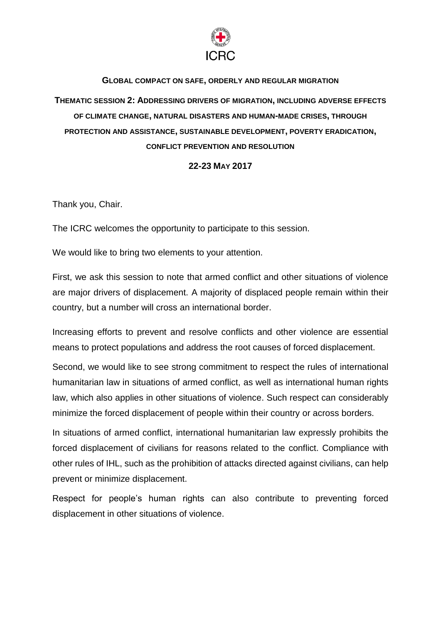

## **GLOBAL COMPACT ON SAFE, ORDERLY AND REGULAR MIGRATION**

**THEMATIC SESSION 2: ADDRESSING DRIVERS OF MIGRATION, INCLUDING ADVERSE EFFECTS OF CLIMATE CHANGE, NATURAL DISASTERS AND HUMAN-MADE CRISES, THROUGH PROTECTION AND ASSISTANCE, SUSTAINABLE DEVELOPMENT, POVERTY ERADICATION, CONFLICT PREVENTION AND RESOLUTION**

## **22-23 MAY 2017**

Thank you, Chair.

The ICRC welcomes the opportunity to participate to this session.

We would like to bring two elements to your attention.

First, we ask this session to note that armed conflict and other situations of violence are major drivers of displacement. A majority of displaced people remain within their country, but a number will cross an international border.

Increasing efforts to prevent and resolve conflicts and other violence are essential means to protect populations and address the root causes of forced displacement.

Second, we would like to see strong commitment to respect the rules of international humanitarian law in situations of armed conflict, as well as international human rights law, which also applies in other situations of violence. Such respect can considerably minimize the forced displacement of people within their country or across borders.

In situations of armed conflict, international humanitarian law expressly prohibits the forced displacement of civilians for reasons related to the conflict. Compliance with other rules of IHL, such as the prohibition of attacks directed against civilians, can help prevent or minimize displacement.

Respect for people's human rights can also contribute to preventing forced displacement in other situations of violence.